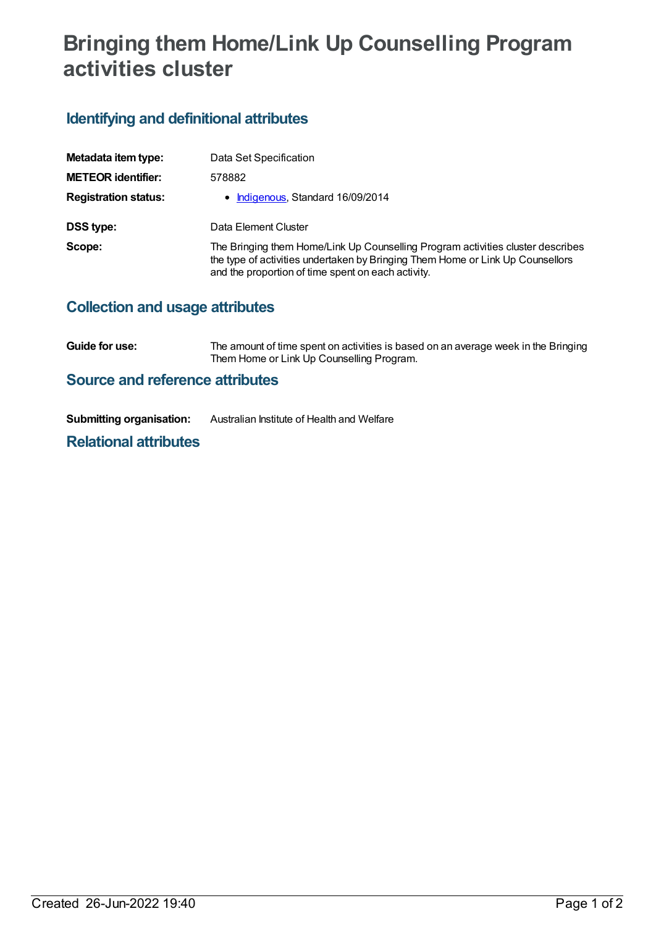# **Bringing them Home/Link Up Counselling Program activities cluster**

### **Identifying and definitional attributes**

| Metadata item type:         | Data Set Specification                                                                                                                                                                                                  |
|-----------------------------|-------------------------------------------------------------------------------------------------------------------------------------------------------------------------------------------------------------------------|
| <b>METEOR identifier:</b>   | 578882                                                                                                                                                                                                                  |
| <b>Registration status:</b> | • Indigenous, Standard 16/09/2014                                                                                                                                                                                       |
| DSS type:                   | Data Element Cluster                                                                                                                                                                                                    |
| Scope:                      | The Bringing them Home/Link Up Counselling Program activities cluster describes<br>the type of activities undertaken by Bringing Them Home or Link Up Counsellors<br>and the proportion of time spent on each activity. |

#### **Collection and usage attributes**

**Guide for use:** The amount of time spent on activities is based on an average week in the Bringing Them Home or Link Up Counselling Program.

#### **Source and reference attributes**

| <b>Submitting organisation:</b> | Australian Institute of Health and Welfare |
|---------------------------------|--------------------------------------------|
|---------------------------------|--------------------------------------------|

#### **Relational attributes**